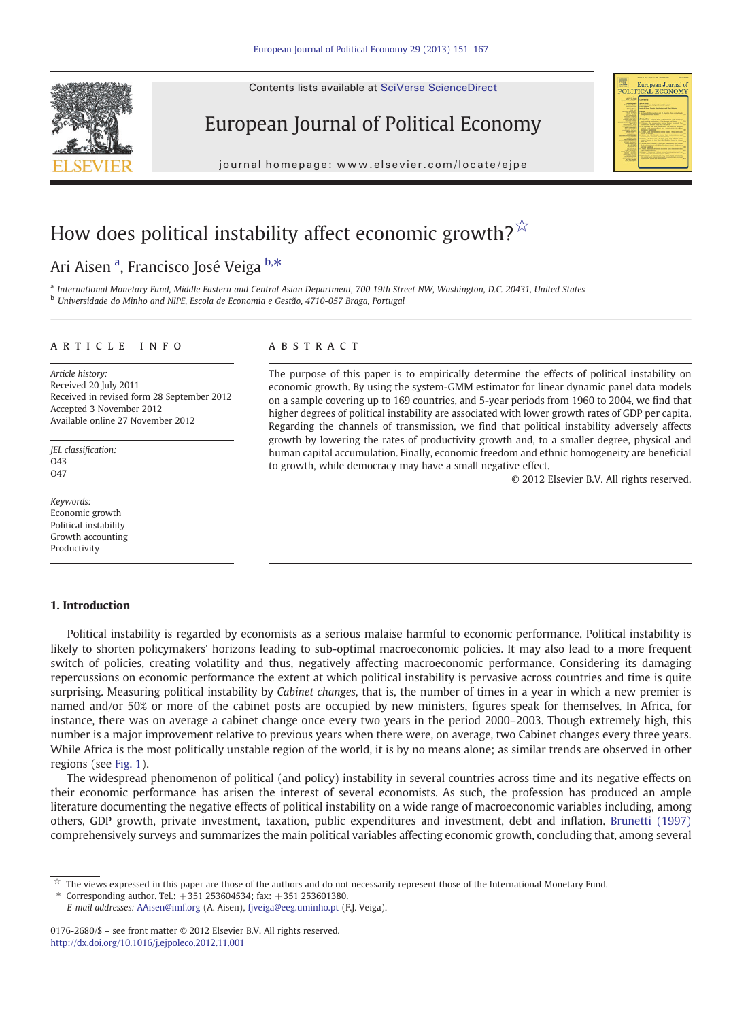Contents lists available at SciVerse ScienceDirect





journal homepage: www.elsevier.com/locate/ejpeer.com/locate/ejpeer.com/locate/ejpeer.com/locate/ejpeer.com/locate/ejpeer.com/locate/ejpeer.com/locate/ejpeer.com/locate/ejpeer.com/locate/ejpeer.com/locate/ejpeer.com/locate



# How does political instability affect economic growth? $\overrightarrow{x}$

### Ari Aisen <sup>a</sup>, Francisco José Veiga <sup>b,\*</sup>

a International Monetary Fund, Middle Eastern and Central Asian Department, 700 19th Street NW, Washington, D.C. 20431, United States <sup>b</sup> Universidade do Minho and NIPE, Escola de Economia e Gestão, 4710-057 Braga, Portugal

#### article info abstract

Article history: Received 20 July 2011 Received in revised form 28 September 2012 Accepted 3 November 2012 Available online 27 November 2012

JEL classification:  $043$  $\Omega$ 47

Keywords: Economic growth Political instability Growth accounting Productivity

### 1. Introduction

The purpose of this paper is to empirically determine the effects of political instability on economic growth. By using the system-GMM estimator for linear dynamic panel data models on a sample covering up to 169 countries, and 5-year periods from 1960 to 2004, we find that higher degrees of political instability are associated with lower growth rates of GDP per capita. Regarding the channels of transmission, we find that political instability adversely affects growth by lowering the rates of productivity growth and, to a smaller degree, physical and human capital accumulation. Finally, economic freedom and ethnic homogeneity are beneficial to growth, while democracy may have a small negative effect.

© 2012 Elsevier B.V. All rights reserved.

Political instability is regarded by economists as a serious malaise harmful to economic performance. Political instability is likely to shorten policymakers' horizons leading to sub-optimal macroeconomic policies. It may also lead to a more frequent switch of policies, creating volatility and thus, negatively affecting macroeconomic performance. Considering its damaging repercussions on economic performance the extent at which political instability is pervasive across countries and time is quite surprising. Measuring political instability by Cabinet changes, that is, the number of times in a year in which a new premier is named and/or 50% or more of the cabinet posts are occupied by new ministers, figures speak for themselves. In Africa, for instance, there was on average a cabinet change once every two years in the period 2000–2003. Though extremely high, this number is a major improvement relative to previous years when there were, on average, two Cabinet changes every three years. While Africa is the most politically unstable region of the world, it is by no means alone; as similar trends are observed in other regions (see [Fig. 1](#page-1-0)).

The widespread phenomenon of political (and policy) instability in several countries across time and its negative effects on their economic performance has arisen the interest of several economists. As such, the profession has produced an ample literature documenting the negative effects of political instability on a wide range of macroeconomic variables including, among others, GDP growth, private investment, taxation, public expenditures and investment, debt and inflation. [Brunetti \(1997\)](#page--1-0) comprehensively surveys and summarizes the main political variables affecting economic growth, concluding that, among several

Corresponding author. Tel.:  $+351$  253604534; fax:  $+351$  253601380.

E-mail addresses: [AAisen@imf.org](mailto:AAisen@imf.org) (A. Aisen), [fjveiga@eeg.uminho.pt](mailto:fjveiga@eeg.uminho.pt) (F.J. Veiga).

0176-2680/\$ – see front matter © 2012 Elsevier B.V. All rights reserved. <http://dx.doi.org/10.1016/j.ejpoleco.2012.11.001>

 $\dot{\mathbb{X}}$  The views expressed in this paper are those of the authors and do not necessarily represent those of the International Monetary Fund.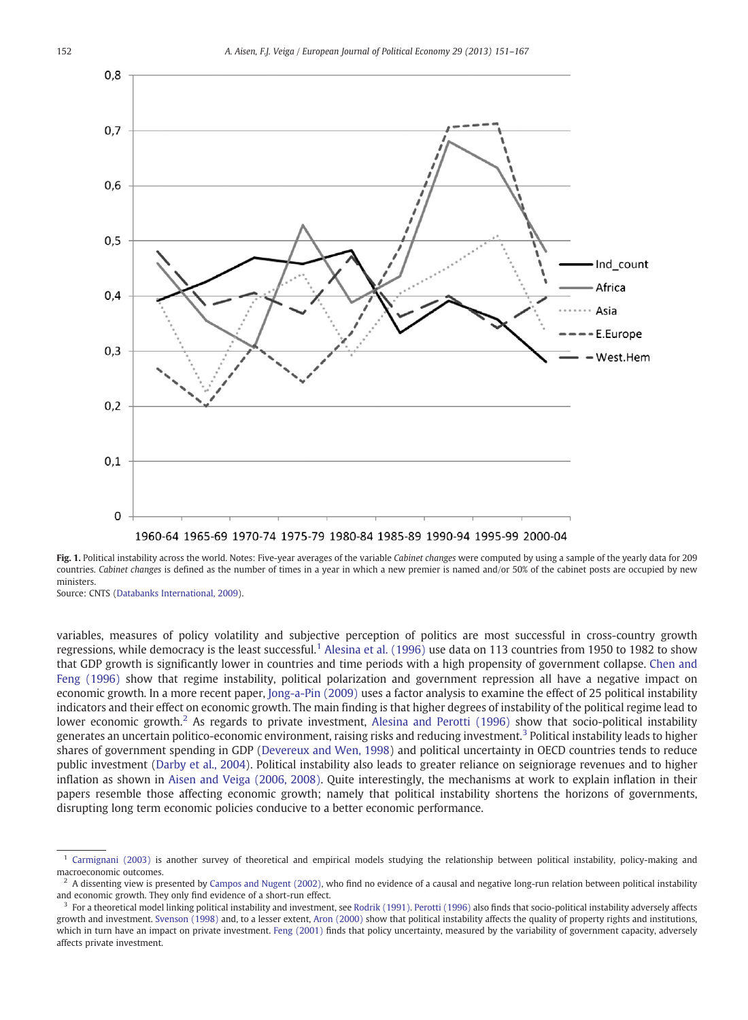<span id="page-1-0"></span>

Fig. 1. Political instability across the world. Notes: Five-year averages of the variable Cabinet changes were computed by using a sample of the yearly data for 209 countries. Cabinet changes is defined as the number of times in a year in which a new premier is named and/or 50% of the cabinet posts are occupied by new ministers.

Source: CNTS ([Databanks International, 2009](#page--1-0)).

variables, measures of policy volatility and subjective perception of politics are most successful in cross-country growth regressions, while democracy is the least successful.<sup>1</sup> [Alesina et al. \(1996\)](#page--1-0) use data on 113 countries from 1950 to 1982 to show that GDP growth is significantly lower in countries and time periods with a high propensity of government collapse. [Chen and](#page--1-0) [Feng \(1996\)](#page--1-0) show that regime instability, political polarization and government repression all have a negative impact on economic growth. In a more recent paper, [Jong-a-Pin \(2009\)](#page--1-0) uses a factor analysis to examine the effect of 25 political instability indicators and their effect on economic growth. The main finding is that higher degrees of instability of the political regime lead to lower economic growth.<sup>2</sup> As regards to private investment, [Alesina and Perotti \(1996\)](#page--1-0) show that socio-political instability generates an uncertain politico-economic environment, raising risks and reducing investment.<sup>3</sup> Political instability leads to higher shares of government spending in GDP [\(Devereux and Wen, 1998](#page--1-0)) and political uncertainty in OECD countries tends to reduce public investment ([Darby et al., 2004\)](#page--1-0). Political instability also leads to greater reliance on seigniorage revenues and to higher inflation as shown in [Aisen and Veiga \(2006, 2008\)](#page--1-0). Quite interestingly, the mechanisms at work to explain inflation in their papers resemble those affecting economic growth; namely that political instability shortens the horizons of governments, disrupting long term economic policies conducive to a better economic performance.

 $1$  [Carmignani \(2003\)](#page--1-0) is another survey of theoretical and empirical models studying the relationship between political instability, policy-making and macroeconomic outcomes.

<sup>2</sup> A dissenting view is presented by [Campos and Nugent \(2002\),](#page--1-0) who find no evidence of a causal and negative long-run relation between political instability and economic growth. They only find evidence of a short-run effect.

<sup>&</sup>lt;sup>3</sup> For a theoretical model linking political instability and investment, see [Rodrik \(1991\)](#page--1-0). [Perotti \(1996\)](#page--1-0) also finds that socio-political instability adversely affects growth and investment. [Svenson \(1998\)](#page--1-0) and, to a lesser extent, [Aron \(2000\)](#page--1-0) show that political instability affects the quality of property rights and institutions, which in turn have an impact on private investment. [Feng \(2001\)](#page--1-0) finds that policy uncertainty, measured by the variability of government capacity, adversely affects private investment.